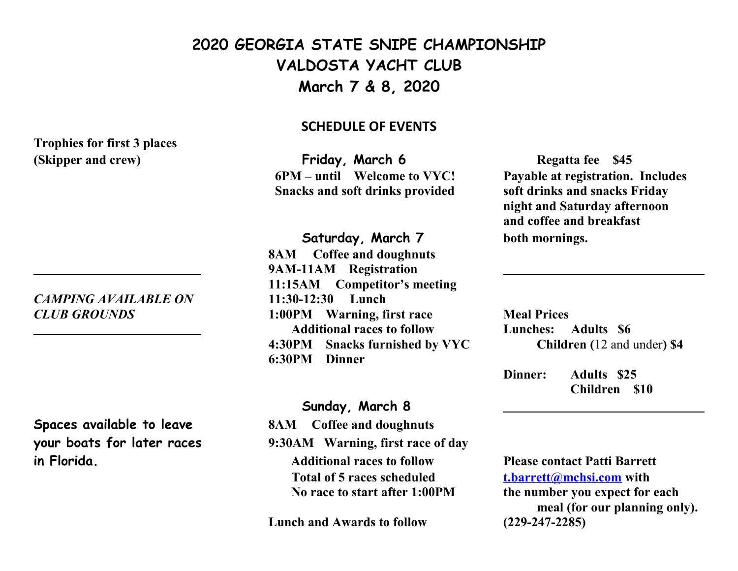### **2020 GEORGIA STATE SNIPE CHAMPIONSHIP VALDOSTA YACHT CLUB March 7 & 8, 2020**

#### **SCHEDULE OF EVENTS**

**(Skipper and crew) Friday, March 6 Regatta fee** \$45  **Snacks and soft drinks provided soft drinks and snacks Friday** 

#### **Saturday, March 7 both mornings.**

**8AM Coffee and doughnuts 9AM-11AM Registration 11:15AM Competitor's meeting** *CLUB GROUNDS* **1:00PM Warning, first race Meal Prices Additional races to follow Lunches: Adults \$6 4:30PM Snacks furnished by VYC Children (**12 and under**) \$4 6:30PM Dinner**

#### **Sunday, March 8**

**your boats for later races 9:30AM Warning, first race of day in Florida. Additional races to follow Please contact Patti Barrett Total of 5 races scheduled [t.barrett@mchsi.com](mailto:t.barrett@mchsi.com) with No race to start after 1:00PM the number you expect for each** 

**Lunch and Awards to follow (229-247-2285)**

 **6PM – until Welcome to VYC! Payable at registration. Includes night and Saturday afternoon and coffee and breakfast**

**Dinner: Adults \$25 Children \$10**

 **meal (for our planning only).**

# **Trophies for first 3 places**

## *CAMPING AVAILABLE ON* **11:30-12:30 Lunch**

**Spaces available to leave 8AM Coffee and doughnuts**